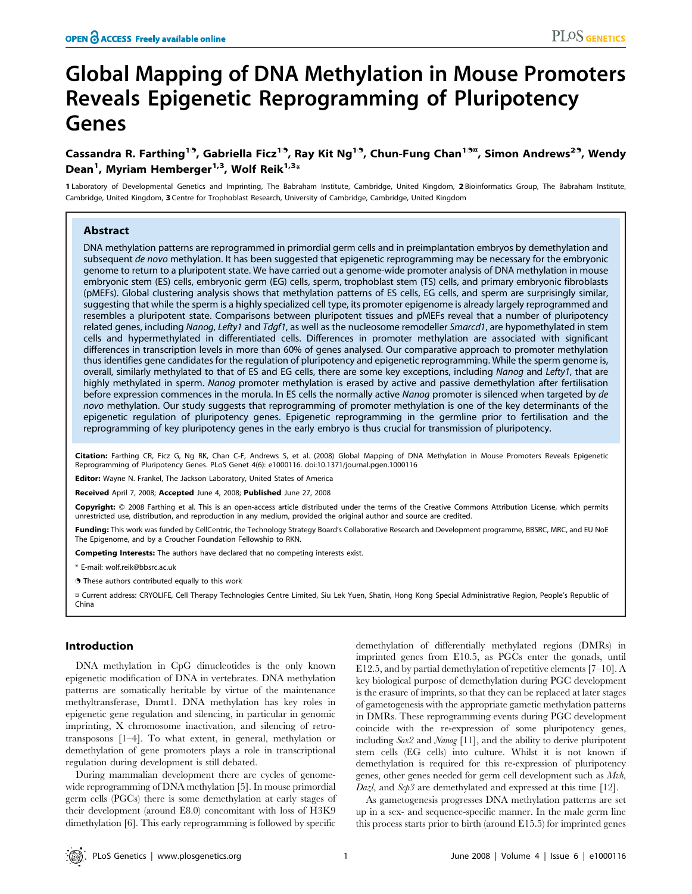# Global Mapping of DNA Methylation in Mouse Promoters Reveals Epigenetic Reprogramming of Pluripotency Genes

## Cassandra R. Farthing<sup>19</sup>, Gabriella Ficz<sup>19</sup>, Ray Kit Ng<sup>19</sup>, Chun-Fung Chan<sup>19¤</sup>, Simon Andrews<sup>29</sup>, Wendy Dean<sup>1</sup>, Myriam Hemberger<sup>1,3</sup>, Wolf Reik<sup>1,3</sup>\*

1 Laboratory of Developmental Genetics and Imprinting, The Babraham Institute, Cambridge, United Kingdom, 2 Bioinformatics Group, The Babraham Institute, Cambridge, United Kingdom, 3 Centre for Trophoblast Research, University of Cambridge, Cambridge, United Kingdom

## Abstract

DNA methylation patterns are reprogrammed in primordial germ cells and in preimplantation embryos by demethylation and subsequent de novo methylation. It has been suggested that epigenetic reprogramming may be necessary for the embryonic genome to return to a pluripotent state. We have carried out a genome-wide promoter analysis of DNA methylation in mouse embryonic stem (ES) cells, embryonic germ (EG) cells, sperm, trophoblast stem (TS) cells, and primary embryonic fibroblasts (pMEFs). Global clustering analysis shows that methylation patterns of ES cells, EG cells, and sperm are surprisingly similar, suggesting that while the sperm is a highly specialized cell type, its promoter epigenome is already largely reprogrammed and resembles a pluripotent state. Comparisons between pluripotent tissues and pMEFs reveal that a number of pluripotency related genes, including Nanog, Lefty1 and Tdgf1, as well as the nucleosome remodeller Smarcd1, are hypomethylated in stem cells and hypermethylated in differentiated cells. Differences in promoter methylation are associated with significant differences in transcription levels in more than 60% of genes analysed. Our comparative approach to promoter methylation thus identifies gene candidates for the regulation of pluripotency and epigenetic reprogramming. While the sperm genome is, overall, similarly methylated to that of ES and EG cells, there are some key exceptions, including Nanog and Lefty1, that are highly methylated in sperm. Nanog promoter methylation is erased by active and passive demethylation after fertilisation before expression commences in the morula. In ES cells the normally active Nanog promoter is silenced when targeted by de novo methylation. Our study suggests that reprogramming of promoter methylation is one of the key determinants of the epigenetic regulation of pluripotency genes. Epigenetic reprogramming in the germline prior to fertilisation and the reprogramming of key pluripotency genes in the early embryo is thus crucial for transmission of pluripotency.

Citation: Farthing CR, Ficz G, Ng RK, Chan C-F, Andrews S, et al. (2008) Global Mapping of DNA Methylation in Mouse Promoters Reveals Epigenetic Reprogramming of Pluripotency Genes. PLoS Genet 4(6): e1000116. doi:10.1371/journal.pgen.1000116

Editor: Wayne N. Frankel, The Jackson Laboratory, United States of America

Received April 7, 2008; Accepted June 4, 2008; Published June 27, 2008

Copyright: © 2008 Farthing et al. This is an open-access article distributed under the terms of the Creative Commons Attribution License, which permits unrestricted use, distribution, and reproduction in any medium, provided the original author and source are credited.

Funding: This work was funded by CellCentric, the Technology Strategy Board's Collaborative Research and Development programme, BBSRC, MRC, and EU NoE The Epigenome, and by a Croucher Foundation Fellowship to RKN.

Competing Interests: The authors have declared that no competing interests exist.

\* E-mail: wolf.reik@bbsrc.ac.uk

. These authors contributed equally to this work

¤ Current address: CRYOLIFE, Cell Therapy Technologies Centre Limited, Siu Lek Yuen, Shatin, Hong Kong Special Administrative Region, People's Republic of China

#### Introduction

DNA methylation in CpG dinucleotides is the only known epigenetic modification of DNA in vertebrates. DNA methylation patterns are somatically heritable by virtue of the maintenance methyltransferase, Dnmt1. DNA methylation has key roles in epigenetic gene regulation and silencing, in particular in genomic imprinting, X chromosome inactivation, and silencing of retrotransposons [1–4]. To what extent, in general, methylation or demethylation of gene promoters plays a role in transcriptional regulation during development is still debated.

During mammalian development there are cycles of genomewide reprogramming of DNA methylation [5]. In mouse primordial germ cells (PGCs) there is some demethylation at early stages of their development (around E8.0) concomitant with loss of H3K9 dimethylation [6]. This early reprogramming is followed by specific

demethylation of differentially methylated regions (DMRs) in imprinted genes from E10.5, as PGCs enter the gonads, until E12.5, and by partial demethylation of repetitive elements [7–10]. A key biological purpose of demethylation during PGC development is the erasure of imprints, so that they can be replaced at later stages of gametogenesis with the appropriate gametic methylation patterns in DMRs. These reprogramming events during PGC development coincide with the re-expression of some pluripotency genes, including Sox2 and Nanog [11], and the ability to derive pluripotent stem cells (EG cells) into culture. Whilst it is not known if demethylation is required for this re-expression of pluripotency genes, other genes needed for germ cell development such as Mvh, Dazl, and Scp3 are demethylated and expressed at this time [12].

As gametogenesis progresses DNA methylation patterns are set up in a sex- and sequence-specific manner. In the male germ line this process starts prior to birth (around E15.5) for imprinted genes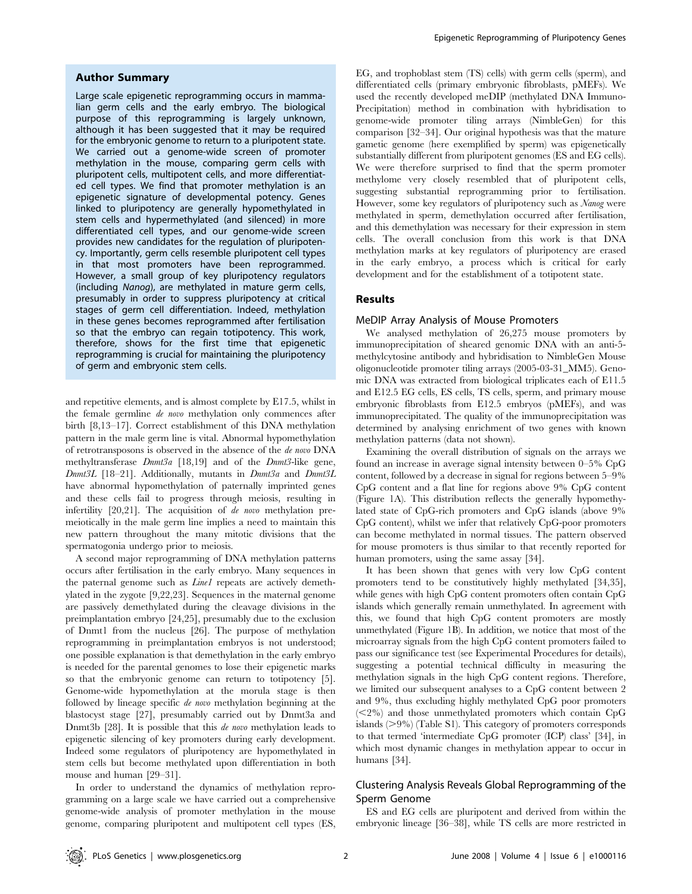#### Author Summary

Large scale epigenetic reprogramming occurs in mammalian germ cells and the early embryo. The biological purpose of this reprogramming is largely unknown, although it has been suggested that it may be required for the embryonic genome to return to a pluripotent state. We carried out a genome-wide screen of promoter methylation in the mouse, comparing germ cells with pluripotent cells, multipotent cells, and more differentiated cell types. We find that promoter methylation is an epigenetic signature of developmental potency. Genes linked to pluripotency are generally hypomethylated in stem cells and hypermethylated (and silenced) in more differentiated cell types, and our genome-wide screen provides new candidates for the regulation of pluripotency. Importantly, germ cells resemble pluripotent cell types in that most promoters have been reprogrammed. However, a small group of key pluripotency regulators (including Nanog), are methylated in mature germ cells, presumably in order to suppress pluripotency at critical stages of germ cell differentiation. Indeed, methylation in these genes becomes reprogrammed after fertilisation so that the embryo can regain totipotency. This work, therefore, shows for the first time that epigenetic reprogramming is crucial for maintaining the pluripotency of germ and embryonic stem cells.

and repetitive elements, and is almost complete by E17.5, whilst in the female germline de novo methylation only commences after birth [8,13–17]. Correct establishment of this DNA methylation pattern in the male germ line is vital. Abnormal hypomethylation of retrotransposons is observed in the absence of the de novo DNA methyltransferase  $Dnmt3a$  [18,19] and of the  $Dnmt3$ -like gene, Dnmt3L [18-21]. Additionally, mutants in Dnmt3a and Dnmt3L have abnormal hypomethylation of paternally imprinted genes and these cells fail to progress through meiosis, resulting in infertility [20,21]. The acquisition of de novo methylation premeiotically in the male germ line implies a need to maintain this new pattern throughout the many mitotic divisions that the spermatogonia undergo prior to meiosis.

A second major reprogramming of DNA methylation patterns occurs after fertilisation in the early embryo. Many sequences in the paternal genome such as *Line1* repeats are actively demethylated in the zygote [9,22,23]. Sequences in the maternal genome are passively demethylated during the cleavage divisions in the preimplantation embryo [24,25], presumably due to the exclusion of Dnmt1 from the nucleus [26]. The purpose of methylation reprogramming in preimplantation embryos is not understood; one possible explanation is that demethylation in the early embryo is needed for the parental genomes to lose their epigenetic marks so that the embryonic genome can return to totipotency [5]. Genome-wide hypomethylation at the morula stage is then followed by lineage specific de novo methylation beginning at the blastocyst stage [27], presumably carried out by Dnmt3a and Dnmt3b [28]. It is possible that this *de novo* methylation leads to epigenetic silencing of key promoters during early development. Indeed some regulators of pluripotency are hypomethylated in stem cells but become methylated upon differentiation in both mouse and human [29–31].

In order to understand the dynamics of methylation reprogramming on a large scale we have carried out a comprehensive genome-wide analysis of promoter methylation in the mouse genome, comparing pluripotent and multipotent cell types (ES, EG, and trophoblast stem (TS) cells) with germ cells (sperm), and differentiated cells (primary embryonic fibroblasts, pMEFs). We used the recently developed meDIP (methylated DNA Immuno-Precipitation) method in combination with hybridisation to genome-wide promoter tiling arrays (NimbleGen) for this comparison [32–34]. Our original hypothesis was that the mature gametic genome (here exemplified by sperm) was epigenetically substantially different from pluripotent genomes (ES and EG cells). We were therefore surprised to find that the sperm promoter methylome very closely resembled that of pluripotent cells, suggesting substantial reprogramming prior to fertilisation. However, some key regulators of pluripotency such as Nanog were methylated in sperm, demethylation occurred after fertilisation, and this demethylation was necessary for their expression in stem cells. The overall conclusion from this work is that DNA methylation marks at key regulators of pluripotency are erased in the early embryo, a process which is critical for early development and for the establishment of a totipotent state.

#### Results

#### MeDIP Array Analysis of Mouse Promoters

We analysed methylation of 26,275 mouse promoters by immunoprecipitation of sheared genomic DNA with an anti-5 methylcytosine antibody and hybridisation to NimbleGen Mouse oligonucleotide promoter tiling arrays (2005-03-31\_MM5). Genomic DNA was extracted from biological triplicates each of E11.5 and E12.5 EG cells, ES cells, TS cells, sperm, and primary mouse embryonic fibroblasts from E12.5 embryos (pMEFs), and was immunoprecipitated. The quality of the immunoprecipitation was determined by analysing enrichment of two genes with known methylation patterns (data not shown).

Examining the overall distribution of signals on the arrays we found an increase in average signal intensity between 0–5% CpG content, followed by a decrease in signal for regions between 5–9% CpG content and a flat line for regions above 9% CpG content (Figure 1A). This distribution reflects the generally hypomethylated state of CpG-rich promoters and CpG islands (above 9% CpG content), whilst we infer that relatively CpG-poor promoters can become methylated in normal tissues. The pattern observed for mouse promoters is thus similar to that recently reported for human promoters, using the same assay [34].

It has been shown that genes with very low CpG content promoters tend to be constitutively highly methylated [34,35], while genes with high CpG content promoters often contain CpG islands which generally remain unmethylated. In agreement with this, we found that high CpG content promoters are mostly unmethylated (Figure 1B). In addition, we notice that most of the microarray signals from the high CpG content promoters failed to pass our significance test (see Experimental Procedures for details), suggesting a potential technical difficulty in measuring the methylation signals in the high CpG content regions. Therefore, we limited our subsequent analyses to a CpG content between 2 and 9%, thus excluding highly methylated CpG poor promoters  $(<2%)$  and those unmethylated promoters which contain CpG islands  $(>9\%)$  (Table S1). This category of promoters corresponds to that termed 'intermediate CpG promoter (ICP) class' [34], in which most dynamic changes in methylation appear to occur in humans [34].

## Clustering Analysis Reveals Global Reprogramming of the Sperm Genome

ES and EG cells are pluripotent and derived from within the embryonic lineage [36–38], while TS cells are more restricted in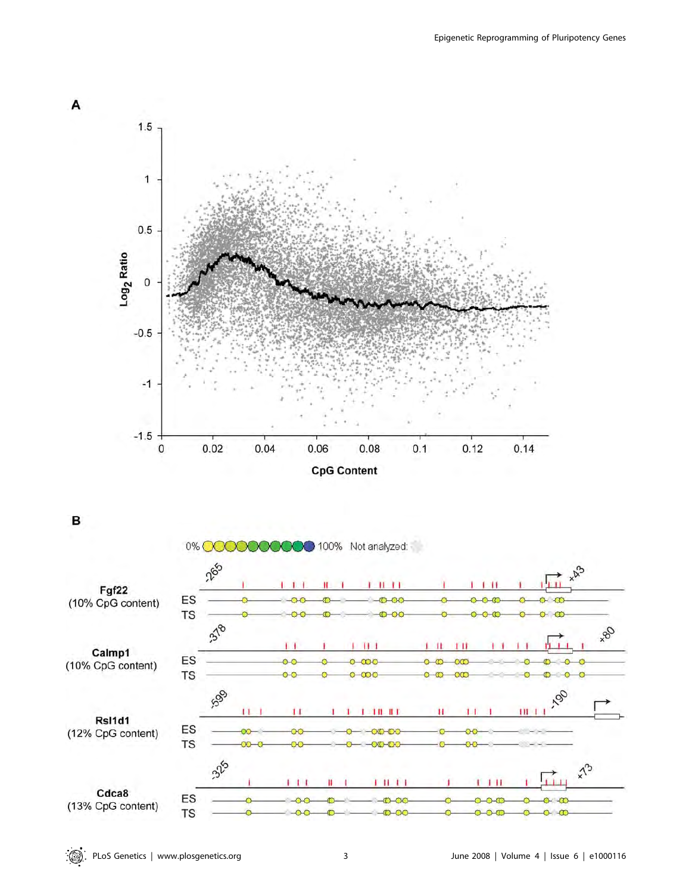

В

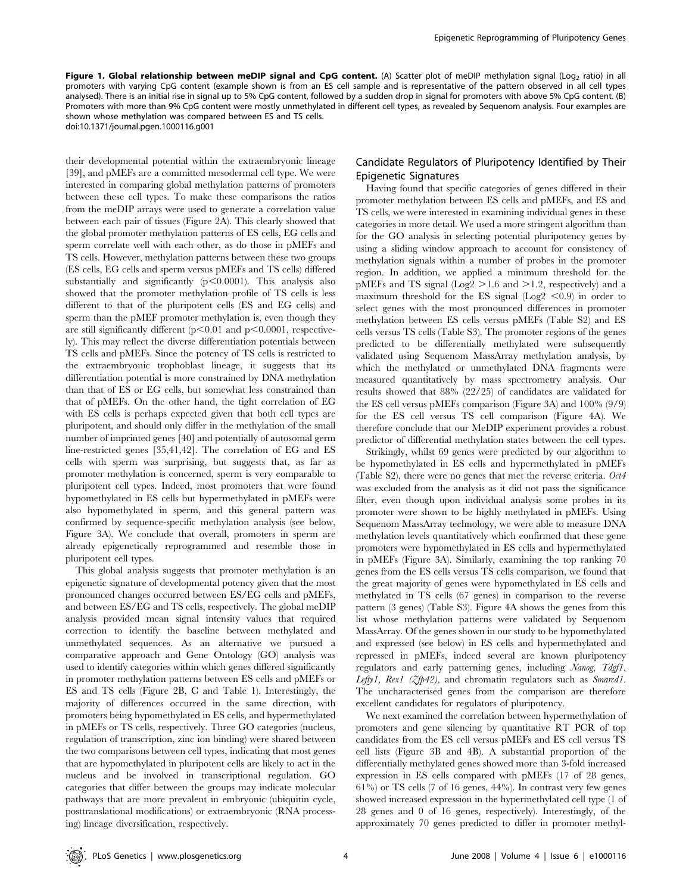Figure 1. Global relationship between meDIP signal and CpG content. (A) Scatter plot of meDIP methylation signal (Log<sub>2</sub> ratio) in all promoters with varying CpG content (example shown is from an ES cell sample and is representative of the pattern observed in all cell types analysed). There is an initial rise in signal up to 5% CpG content, followed by a sudden drop in signal for promoters with above 5% CpG content. (B) Promoters with more than 9% CpG content were mostly unmethylated in different cell types, as revealed by Sequenom analysis. Four examples are shown whose methylation was compared between ES and TS cells. doi:10.1371/journal.pgen.1000116.g001

their developmental potential within the extraembryonic lineage [39], and pMEFs are a committed mesodermal cell type. We were interested in comparing global methylation patterns of promoters between these cell types. To make these comparisons the ratios from the meDIP arrays were used to generate a correlation value between each pair of tissues (Figure 2A). This clearly showed that the global promoter methylation patterns of ES cells, EG cells and sperm correlate well with each other, as do those in pMEFs and TS cells. However, methylation patterns between these two groups (ES cells, EG cells and sperm versus pMEFs and TS cells) differed substantially and significantly  $(p<0.0001)$ . This analysis also showed that the promoter methylation profile of TS cells is less different to that of the pluripotent cells (ES and EG cells) and sperm than the pMEF promoter methylation is, even though they are still significantly different  $(p<0.01$  and  $p<0.0001$ , respectively). This may reflect the diverse differentiation potentials between TS cells and pMEFs. Since the potency of TS cells is restricted to the extraembryonic trophoblast lineage, it suggests that its differentiation potential is more constrained by DNA methylation than that of ES or EG cells, but somewhat less constrained than that of pMEFs. On the other hand, the tight correlation of EG with ES cells is perhaps expected given that both cell types are pluripotent, and should only differ in the methylation of the small number of imprinted genes [40] and potentially of autosomal germ line-restricted genes [35,41,42]. The correlation of EG and ES cells with sperm was surprising, but suggests that, as far as promoter methylation is concerned, sperm is very comparable to pluripotent cell types. Indeed, most promoters that were found hypomethylated in ES cells but hypermethylated in pMEFs were also hypomethylated in sperm, and this general pattern was confirmed by sequence-specific methylation analysis (see below, Figure 3A). We conclude that overall, promoters in sperm are already epigenetically reprogrammed and resemble those in pluripotent cell types.

This global analysis suggests that promoter methylation is an epigenetic signature of developmental potency given that the most pronounced changes occurred between ES/EG cells and pMEFs, and between ES/EG and TS cells, respectively. The global meDIP analysis provided mean signal intensity values that required correction to identify the baseline between methylated and unmethylated sequences. As an alternative we pursued a comparative approach and Gene Ontology (GO) analysis was used to identify categories within which genes differed significantly in promoter methylation patterns between ES cells and pMEFs or ES and TS cells (Figure 2B, C and Table 1). Interestingly, the majority of differences occurred in the same direction, with promoters being hypomethylated in ES cells, and hypermethylated in pMEFs or TS cells, respectively. Three GO categories (nucleus, regulation of transcription, zinc ion binding) were shared between the two comparisons between cell types, indicating that most genes that are hypomethylated in pluripotent cells are likely to act in the nucleus and be involved in transcriptional regulation. GO categories that differ between the groups may indicate molecular pathways that are more prevalent in embryonic (ubiquitin cycle, posttranslational modifications) or extraembryonic (RNA processing) lineage diversification, respectively.

## Candidate Regulators of Pluripotency Identified by Their Epigenetic Signatures

Having found that specific categories of genes differed in their promoter methylation between ES cells and pMEFs, and ES and TS cells, we were interested in examining individual genes in these categories in more detail. We used a more stringent algorithm than for the GO analysis in selecting potential pluripotency genes by using a sliding window approach to account for consistency of methylation signals within a number of probes in the promoter region. In addition, we applied a minimum threshold for the pMEFs and TS signal ( $Log2 > 1.6$  and  $>1.2$ , respectively) and a maximum threshold for the ES signal ( $Log2 < 0.9$ ) in order to select genes with the most pronounced differences in promoter methylation between ES cells versus pMEFs (Table S2) and ES cells versus TS cells (Table S3). The promoter regions of the genes predicted to be differentially methylated were subsequently validated using Sequenom MassArray methylation analysis, by which the methylated or unmethylated DNA fragments were measured quantitatively by mass spectrometry analysis. Our results showed that 88% (22/25) of candidates are validated for the ES cell versus pMEFs comparison (Figure 3A) and 100% (9/9) for the ES cell versus TS cell comparison (Figure 4A). We therefore conclude that our MeDIP experiment provides a robust predictor of differential methylation states between the cell types.

Strikingly, whilst 69 genes were predicted by our algorithm to be hypomethylated in ES cells and hypermethylated in pMEFs (Table S2), there were no genes that met the reverse criteria. Oct4 was excluded from the analysis as it did not pass the significance filter, even though upon individual analysis some probes in its promoter were shown to be highly methylated in pMEFs. Using Sequenom MassArray technology, we were able to measure DNA methylation levels quantitatively which confirmed that these gene promoters were hypomethylated in ES cells and hypermethylated in pMEFs (Figure 3A). Similarly, examining the top ranking 70 genes from the ES cells versus TS cells comparison, we found that the great majority of genes were hypomethylated in ES cells and methylated in TS cells (67 genes) in comparison to the reverse pattern (3 genes) (Table S3). Figure 4A shows the genes from this list whose methylation patterns were validated by Sequenom MassArray. Of the genes shown in our study to be hypomethylated and expressed (see below) in ES cells and hypermethylated and repressed in pMEFs, indeed several are known pluripotency regulators and early patterning genes, including Nanog, Tdgf1, Lefty1, Rex1 ( $\zeta$ fp42), and chromatin regulators such as Smarcd1. The uncharacterised genes from the comparison are therefore excellent candidates for regulators of pluripotency.

We next examined the correlation between hypermethylation of promoters and gene silencing by quantitative RT PCR of top candidates from the ES cell versus pMEFs and ES cell versus TS cell lists (Figure 3B and 4B). A substantial proportion of the differentially methylated genes showed more than 3-fold increased expression in ES cells compared with pMEFs (17 of 28 genes, 61%) or TS cells (7 of 16 genes, 44%). In contrast very few genes showed increased expression in the hypermethylated cell type (1 of 28 genes and 0 of 16 genes, respectively). Interestingly, of the approximately 70 genes predicted to differ in promoter methyl-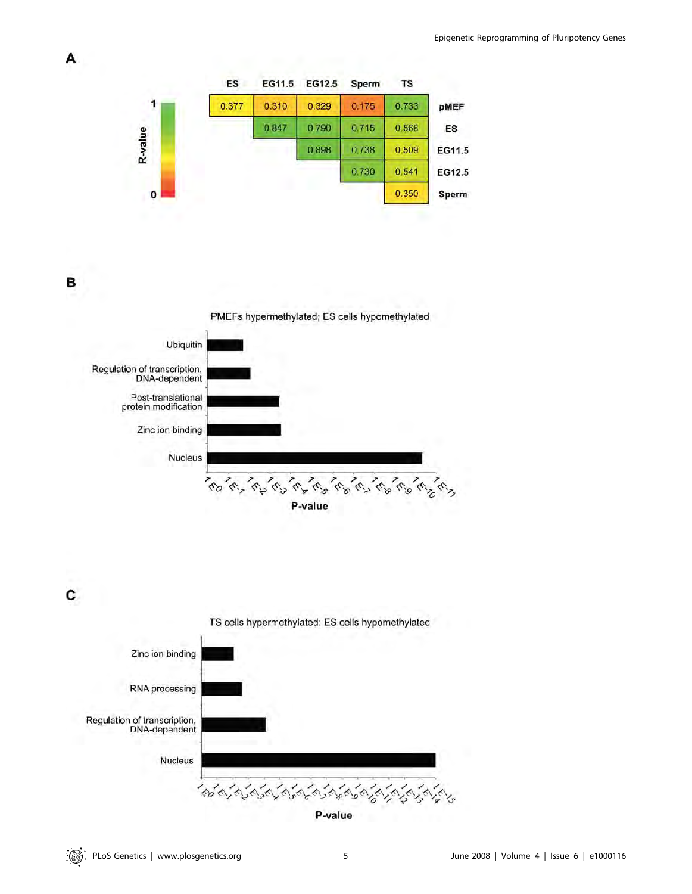

B

A



C

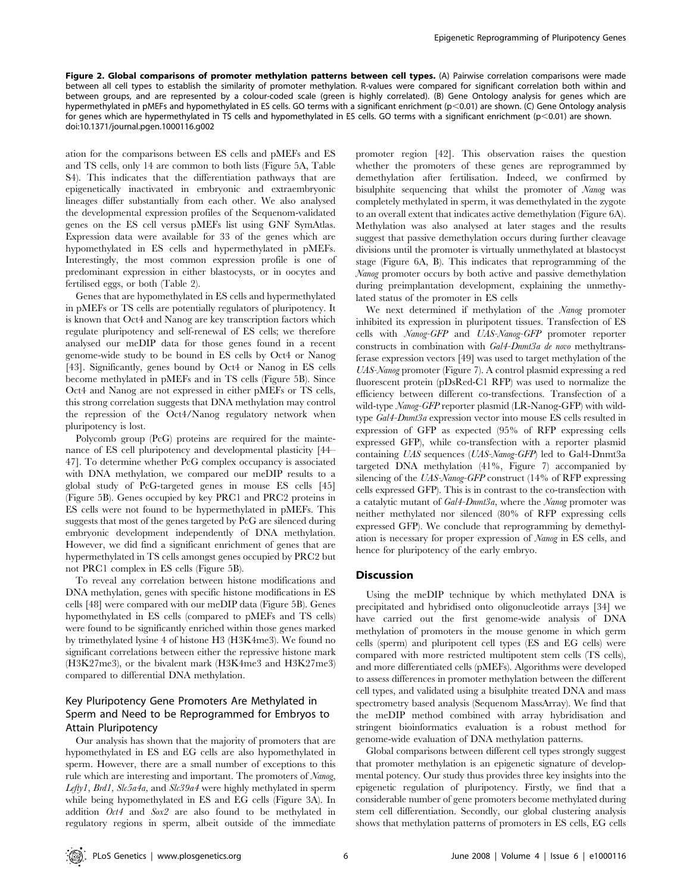Figure 2. Global comparisons of promoter methylation patterns between cell types. (A) Pairwise correlation comparisons were made between all cell types to establish the similarity of promoter methylation. R-values were compared for significant correlation both within and between groups, and are represented by a colour-coded scale (green is highly correlated). (B) Gene Ontology analysis for genes which are hypermethylated in pMEFs and hypomethylated in ES cells. GO terms with a significant enrichment (p<0.01) are shown. (C) Gene Ontology analysis for genes which are hypermethylated in TS cells and hypomethylated in ES cells. GO terms with a significant enrichment (p<0.01) are shown. doi:10.1371/journal.pgen.1000116.g002

ation for the comparisons between ES cells and pMEFs and ES and TS cells, only 14 are common to both lists (Figure 5A, Table S4). This indicates that the differentiation pathways that are epigenetically inactivated in embryonic and extraembryonic lineages differ substantially from each other. We also analysed the developmental expression profiles of the Sequenom-validated genes on the ES cell versus pMEFs list using GNF SymAtlas. Expression data were available for 33 of the genes which are hypomethylated in ES cells and hypermethylated in pMEFs. Interestingly, the most common expression profile is one of predominant expression in either blastocysts, or in oocytes and fertilised eggs, or both (Table 2).

Genes that are hypomethylated in ES cells and hypermethylated in pMEFs or TS cells are potentially regulators of pluripotency. It is known that Oct4 and Nanog are key transcription factors which regulate pluripotency and self-renewal of ES cells; we therefore analysed our meDIP data for those genes found in a recent genome-wide study to be bound in ES cells by Oct4 or Nanog [43]. Significantly, genes bound by Oct4 or Nanog in ES cells become methylated in pMEFs and in TS cells (Figure 5B). Since Oct4 and Nanog are not expressed in either pMEFs or TS cells, this strong correlation suggests that DNA methylation may control the repression of the Oct4/Nanog regulatory network when pluripotency is lost.

Polycomb group (PcG) proteins are required for the maintenance of ES cell pluripotency and developmental plasticity [44– 47]. To determine whether PcG complex occupancy is associated with DNA methylation, we compared our meDIP results to a global study of PcG-targeted genes in mouse ES cells [45] (Figure 5B). Genes occupied by key PRC1 and PRC2 proteins in ES cells were not found to be hypermethylated in pMEFs. This suggests that most of the genes targeted by PcG are silenced during embryonic development independently of DNA methylation. However, we did find a significant enrichment of genes that are hypermethylated in TS cells amongst genes occupied by PRC2 but not PRC1 complex in ES cells (Figure 5B).

To reveal any correlation between histone modifications and DNA methylation, genes with specific histone modifications in ES cells [48] were compared with our meDIP data (Figure 5B). Genes hypomethylated in ES cells (compared to pMEFs and TS cells) were found to be significantly enriched within those genes marked by trimethylated lysine 4 of histone H3 (H3K4me3). We found no significant correlations between either the repressive histone mark (H3K27me3), or the bivalent mark (H3K4me3 and H3K27me3) compared to differential DNA methylation.

## Key Pluripotency Gene Promoters Are Methylated in Sperm and Need to be Reprogrammed for Embryos to Attain Pluripotency

Our analysis has shown that the majority of promoters that are hypomethylated in ES and EG cells are also hypomethylated in sperm. However, there are a small number of exceptions to this rule which are interesting and important. The promoters of Nanog, Lefty1, Brd1, Slc5a4a, and Slc39a4 were highly methylated in sperm while being hypomethylated in ES and EG cells (Figure 3A). In addition Oct4 and Sox2 are also found to be methylated in regulatory regions in sperm, albeit outside of the immediate

promoter region [42]. This observation raises the question whether the promoters of these genes are reprogrammed by demethylation after fertilisation. Indeed, we confirmed by bisulphite sequencing that whilst the promoter of Nanog was completely methylated in sperm, it was demethylated in the zygote to an overall extent that indicates active demethylation (Figure 6A). Methylation was also analysed at later stages and the results suggest that passive demethylation occurs during further cleavage divisions until the promoter is virtually unmethylated at blastocyst stage (Figure 6A, B). This indicates that reprogramming of the Nanog promoter occurs by both active and passive demethylation during preimplantation development, explaining the unmethylated status of the promoter in ES cells

We next determined if methylation of the Nanog promoter inhibited its expression in pluripotent tissues. Transfection of ES cells with Nanog-GFP and UAS-Nanog-GFP promoter reporter constructs in combination with Gal4-Dnmt3a de novo methyltransferase expression vectors [49] was used to target methylation of the UAS-Nanog promoter (Figure 7). A control plasmid expressing a red fluorescent protein (pDsRed-C1 RFP) was used to normalize the efficiency between different co-transfections. Transfection of a wild-type Nanog-GFP reporter plasmid (LR-Nanog-GFP) with wildtype Gal4-Dnmt3a expression vector into mouse ES cells resulted in expression of GFP as expected (95% of RFP expressing cells expressed GFP), while co-transfection with a reporter plasmid containing UAS sequences (UAS-Nanog-GFP) led to Gal4-Dnmt3a targeted DNA methylation (41%, Figure 7) accompanied by silencing of the UAS-Nanog-GFP construct (14% of RFP expressing cells expressed GFP). This is in contrast to the co-transfection with a catalytic mutant of Gal4-Dnmt3a, where the Nanog promoter was neither methylated nor silenced (80% of RFP expressing cells expressed GFP). We conclude that reprogramming by demethylation is necessary for proper expression of Nanog in ES cells, and hence for pluripotency of the early embryo.

#### Discussion

Using the meDIP technique by which methylated DNA is precipitated and hybridised onto oligonucleotide arrays [34] we have carried out the first genome-wide analysis of DNA methylation of promoters in the mouse genome in which germ cells (sperm) and pluripotent cell types (ES and EG cells) were compared with more restricted multipotent stem cells (TS cells), and more differentiated cells (pMEFs). Algorithms were developed to assess differences in promoter methylation between the different cell types, and validated using a bisulphite treated DNA and mass spectrometry based analysis (Sequenom MassArray). We find that the meDIP method combined with array hybridisation and stringent bioinformatics evaluation is a robust method for genome-wide evaluation of DNA methylation patterns.

Global comparisons between different cell types strongly suggest that promoter methylation is an epigenetic signature of developmental potency. Our study thus provides three key insights into the epigenetic regulation of pluripotency. Firstly, we find that a considerable number of gene promoters become methylated during stem cell differentiation. Secondly, our global clustering analysis shows that methylation patterns of promoters in ES cells, EG cells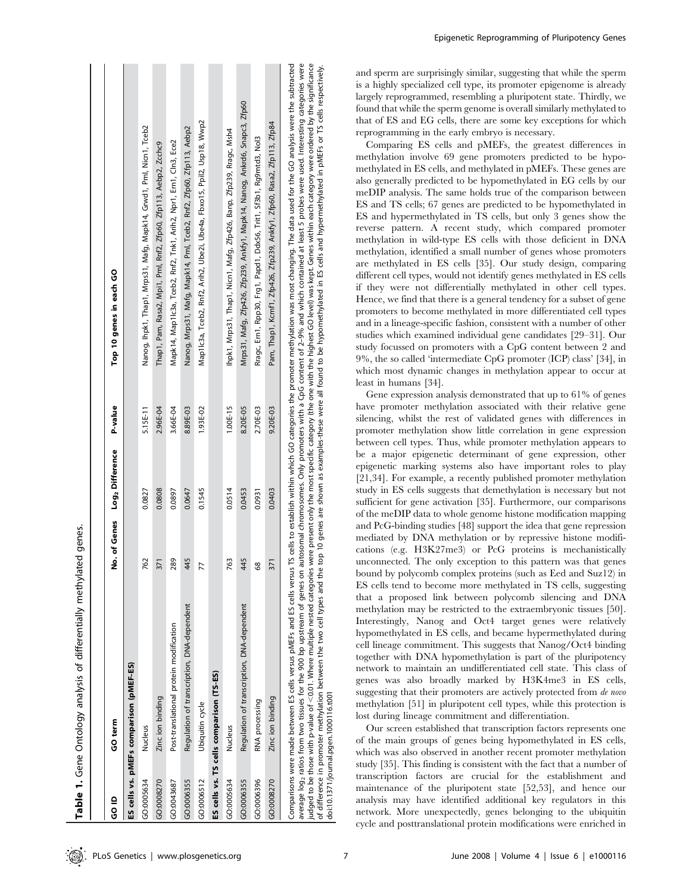| ≙<br>ູ     | GO term                                    |     | No. of Genes Log <sub>2</sub> Difference | P-value    | Top 10 genes in each GO                                                    |
|------------|--------------------------------------------|-----|------------------------------------------|------------|----------------------------------------------------------------------------|
|            | ES cells vs. pMEFs comparison (pMEF-ES)    |     |                                          |            |                                                                            |
| GO:0005634 | Nucleus                                    | 762 | 0.0827                                   | 5.15E-11   | Nanog, Ihpk1, Thap1, Mrps31, Mafg, Mapk14, Grwd1, Pml, Nicn1, Tceb2        |
| GO:0008270 | Zinc ion binding                           | 371 | 0.0808                                   | 2.96E-04   | Thap1, Pam, Rasa2, Mpi1, Pml, Rnf2, Zfp60, Zfp113, Aebp2, Zcchc9           |
| GO:0043687 | Post-translational protein modification    | 289 | 0.0897                                   | 3.66E-04   | Mapk14, Map1lc3a, Tceb2, Rnf2, Tnk1, Arih2, Npr1, Ern1, Cln3, Ece2         |
| GO:0006355 | Regulation of transcription, DNA-dependent | 445 | 0.0647                                   | 8.89E-03   | Nanog, Mrps31, Mafg, Mapk14, Pml, Tceb2, Rnf2, Zfp60, Zfp113, Aebp2        |
| GO:0006512 | Ubiquitin cycle                            | 77  | 0.1545                                   | 1.93E-02   | Map1lc3a, Tceb2, Rnf2, Arih2, Ube2i, Ube4a, Fbxo15, Ppil2, Usp18, Wwp2     |
|            | ES cells vs. TS cells comparison (TS-ES)   |     |                                          |            |                                                                            |
| GO:0005634 | Nucleus                                    | 763 | 0.0514                                   | $1.00E-15$ | lhpk1, Mrps31, Thap1, Nicn1, Mafg, Zfp426, Banp, Zfp239, Rragc, Msh4       |
| GO:0006355 | Regulation of transcription, DNA-dependent | 445 | 0.0453                                   | 8.20E-05   | Mrps31, Mafg, Zfp426, Zfp239, Ankfy1, Mapk14, Nanog, Ankrd6, Snapc3, Zfp60 |
| GO:0006396 | RNA processing                             | 68  | 0.0931                                   | 2.70E-03   | Rragc, Ern1, Rpp30, Frg1, Papd1, Ddx56, Trit1, Sf3b1, Rg9mtd3, Nol3        |
| GO:0008270 | Zinc ion binding                           | 371 | 0.0403                                   | 9.20E-03   | Pam, Thap1, Kcmf1, Zfp426, Zfp239, Ankfy1, Zfp60, Rasa2, Zfp113, Zfp84     |

of difference in promoter methylation between the two cell types and the top 10 genes are shown as examples-these were all found to be hypomethylated in ES cells and hypermethylated in pMEFs or TS cells respectively. 10 genes are shown as examples-these were all found to be hypomethylated in ES cells and hypermethylated in pMEFs or TS cells respectively of difference in promoter methylation between the two cell types and the top<br>doi:10.1371/journal.pgen.1000116.t001 doi:10.1371/journal.pgen.1000116.t001

Epigenetic Reprogramming of Pluripotency Genes

and sperm are surprisingly similar, suggesting that while the sperm is a highly specialized cell type, its promoter epigenome is already largely reprogrammed, resembling a pluripotent state. Thirdly, we found that while the sperm genome is overall similarly methylated to that of ES and EG cells, there are some key exceptions for which reprogramming in the early embryo is necessary.

Comparing ES cells and pMEFs, the greatest differences in methylation involve 69 gene promoters predicted to be hypomethylated in ES cells, and methylated in pMEFs. These genes are also generally predicted to be hypomethylated in EG cells by our meDIP analysis. The same holds true of the comparison between ES and TS cells; 67 genes are predicted to be hypomethylated in ES and hypermethylated in TS cells, but only 3 genes show the reverse pattern. A recent study, which compared promoter methylation in wild-type ES cells with those deficient in DNA methylation, identified a small number of genes whose promoters are methylated in ES cells [35]. Our study design, comparing different cell types, would not identify genes methylated in ES cells if they were not differentially methylated in other cell types. Hence, we find that there is a general tendency for a subset of gene promoters to become methylated in more differentiated cell types and in a lineage-specific fashion, consistent with a number of other studies which examined individual gene candidates [29–31]. Our study focussed on promoters with a CpG content between 2 and 9%, the so called 'intermediate CpG promoter (ICP) class' [34], in which most dynamic changes in methylation appear to occur at least in humans [34].

Gene expression analysis demonstrated that up to 61% of genes have promoter methylation associated with their relative gene silencing, whilst the rest of validated genes with differences in promoter methylation show little correlation in gene expression between cell types. Thus, while promoter methylation appears to be a major epigenetic determinant of gene expression, other epigenetic marking systems also have important roles to play [21,34]. For example, a recently published promoter methylation study in ES cells suggests that demethylation is necessary but not sufficient for gene activation [35]. Furthermore, our comparisons of the meDIP data to whole genome histone modification mapping and PcG-binding studies [48] support the idea that gene repression mediated by DNA methylation or by repressive histone modifications (e.g. H3K27me3) or PcG proteins is mechanistically unconnected. The only exception to this pattern was that genes bound by polycomb complex proteins (such as Eed and Suz12) in ES cells tend to become more methylated in TS cells, suggesting that a proposed link between polycomb silencing and DNA methylation may be restricted to the extraembryonic tissues [50]. Interestingly, Nanog and Oct4 target genes were relatively hypomethylated in ES cells, and became hypermethylated during cell lineage commitment. This suggests that Nanog/Oct4 binding together with DNA hypomethylation is part of the pluripotency network to maintain an undifferentiated cell state. This class of genes was also broadly marked by H3K4me3 in ES cells, suggesting that their promoters are actively protected from de novo methylation [51] in pluripotent cell types, while this protection is lost during lineage commitment and differentiation.

Our screen established that transcription factors represents one of the main groups of genes being hypomethylated in ES cells, which was also observed in another recent promoter methylation study [35]. This finding is consistent with the fact that a number of transcription factors are crucial for the establishment and maintenance of the pluripotent state [52,53], and hence our analysis may have identified additional key regulators in this network. More unexpectedly, genes belonging to the ubiquitin cycle and posttranslational protein modifications were enriched in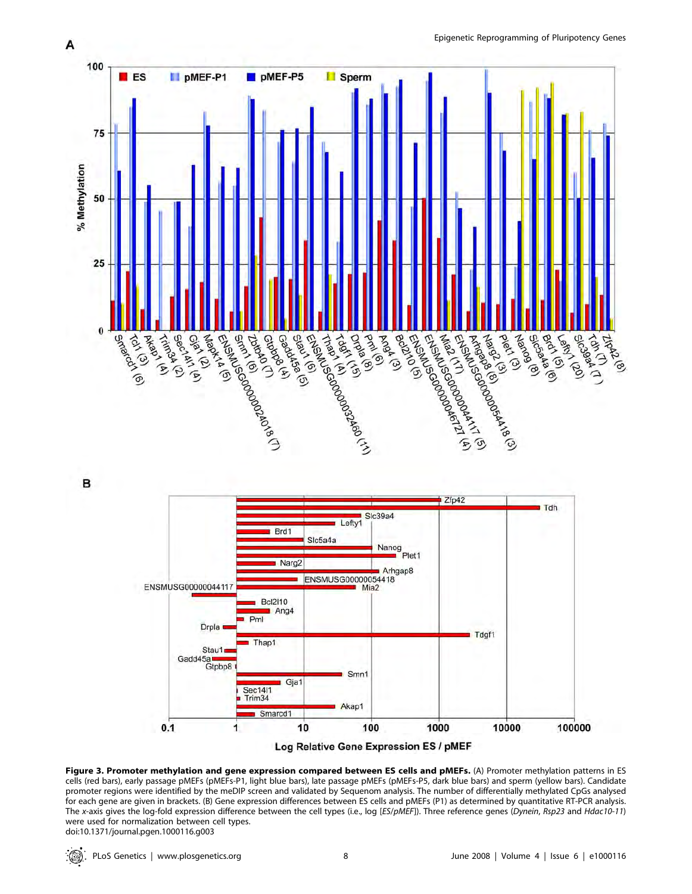

B



Figure 3. Promoter methylation and gene expression compared between ES cells and pMEFs. (A) Promoter methylation patterns in ES cells (red bars), early passage pMEFs (pMEFs-P1, light blue bars), late passage pMEFs (pMEFs-P5, dark blue bars) and sperm (yellow bars). Candidate promoter regions were identified by the meDIP screen and validated by Sequenom analysis. The number of differentially methylated CpGs analysed for each gene are given in brackets. (B) Gene expression differences between ES cells and pMEFs (P1) as determined by quantitative RT-PCR analysis. The x-axis gives the log-fold expression difference between the cell types (i.e., log [ES/pMEF]). Three reference genes (Dynein, Rsp23 and Hdac10-11) were used for normalization between cell types. doi:10.1371/journal.pgen.1000116.g003

 $\mathbb{Q}$  .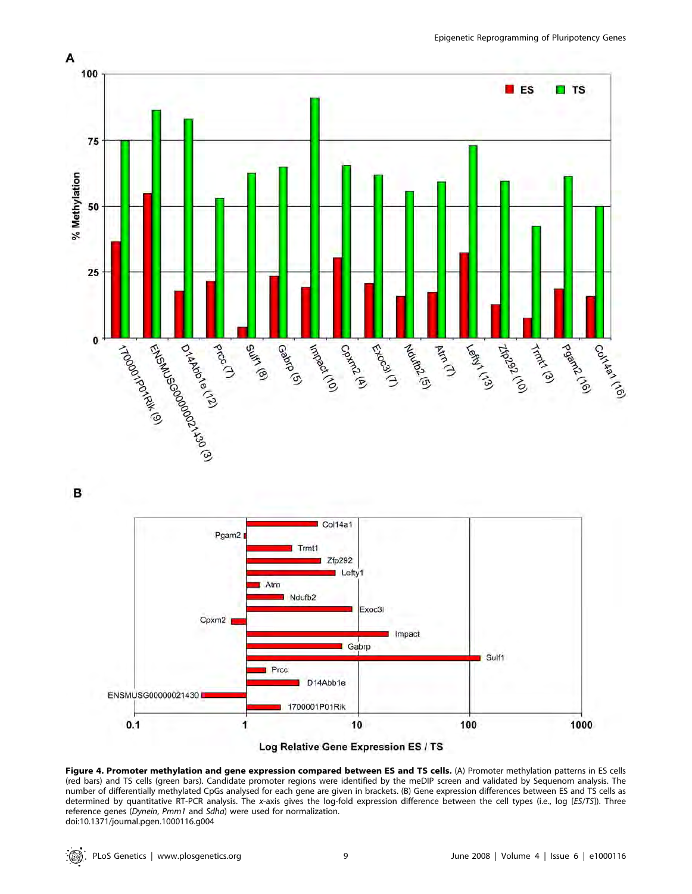

B



Log Relative Gene Expression ES / TS

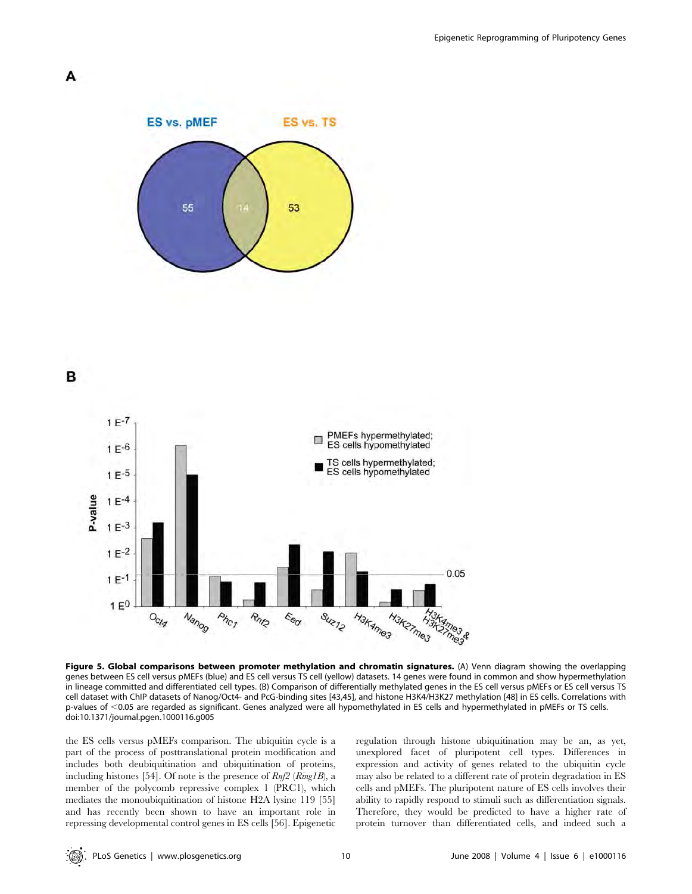







Figure 5. Global comparisons between promoter methylation and chromatin signatures. (A) Venn diagram showing the overlapping genes between ES cell versus pMEFs (blue) and ES cell versus TS cell (yellow) datasets. 14 genes were found in common and show hypermethylation in lineage committed and differentiated cell types. (B) Comparison of differentially methylated genes in the ES cell versus pMEFs or ES cell versus TS cell dataset with ChIP datasets of Nanog/Oct4- and PcG-binding sites [43,45], and histone H3K4/H3K27 methylation [48] in ES cells. Correlations with p-values of ,0.05 are regarded as significant. Genes analyzed were all hypomethylated in ES cells and hypermethylated in pMEFs or TS cells. doi:10.1371/journal.pgen.1000116.g005

the ES cells versus pMEFs comparison. The ubiquitin cycle is a part of the process of posttranslational protein modification and includes both deubiquitination and ubiquitination of proteins, including histones [54]. Of note is the presence of Rnf2 (Ring1B), a member of the polycomb repressive complex 1 (PRC1), which mediates the monoubiquitination of histone H2A lysine 119 [55] and has recently been shown to have an important role in repressing developmental control genes in ES cells [56]. Epigenetic regulation through histone ubiquitination may be an, as yet, unexplored facet of pluripotent cell types. Differences in expression and activity of genes related to the ubiquitin cycle may also be related to a different rate of protein degradation in ES cells and pMEFs. The pluripotent nature of ES cells involves their ability to rapidly respond to stimuli such as differentiation signals. Therefore, they would be predicted to have a higher rate of protein turnover than differentiated cells, and indeed such a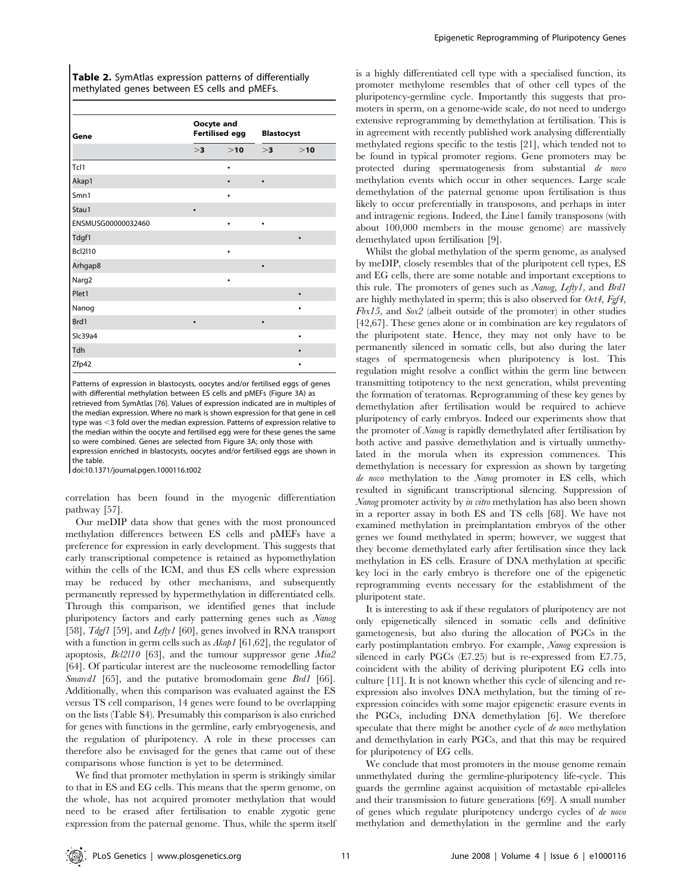| <b>Table 2.</b> SymAtlas expression patterns of differentially |  |  |
|----------------------------------------------------------------|--|--|
| methylated genes between ES cells and pMEFs.                   |  |  |

| Gene               | Oocyte and<br><b>Fertilised egg</b> |           | <b>Blastocyst</b> |           |
|--------------------|-------------------------------------|-----------|-------------------|-----------|
|                    | >3                                  | >10       | >3                | >10       |
| Tcl1               |                                     | ٠         |                   |           |
| Akap1              |                                     | $\bullet$ | $\bullet$         |           |
| Smn1               |                                     | ٠         |                   |           |
| Stau1              | $\bullet$                           |           |                   |           |
| ENSMUSG00000032460 |                                     | $\bullet$ | $\bullet$         |           |
| Tdgf1              |                                     |           |                   | ٠         |
| <b>Bcl2l10</b>     |                                     | $\bullet$ |                   |           |
| Arhgap8            |                                     |           | $\bullet$         |           |
| Narg2              |                                     | $\bullet$ |                   |           |
| Plet1              |                                     |           |                   | $\bullet$ |
| Nanog              |                                     |           |                   | ٠         |
| Brd1               | ٠                                   |           | $\bullet$         |           |
| Slc39a4            |                                     |           |                   | ٠         |
| Tdh                |                                     |           |                   | ٠         |
| Zfp42              |                                     |           |                   |           |

Patterns of expression in blastocysts, oocytes and/or fertilised eggs of genes with differential methylation between ES cells and pMEFs (Figure 3A) as retrieved from SymAtlas [76]. Values of expression indicated are in multiples of the median expression. Where no mark is shown expression for that gene in cell type was <3 fold over the median expression. Patterns of expression relative to the median within the oocyte and fertilised egg were for these genes the same so were combined. Genes are selected from Figure 3A; only those with expression enriched in blastocysts, oocytes and/or fertilised eggs are shown in the table.

doi:10.1371/journal.pgen.1000116.t002

correlation has been found in the myogenic differentiation pathway [57].

Our meDIP data show that genes with the most pronounced methylation differences between ES cells and pMEFs have a preference for expression in early development. This suggests that early transcriptional competence is retained as hypomethylation within the cells of the ICM, and thus ES cells where expression may be reduced by other mechanisms, and subsequently permanently repressed by hypermethylation in differentiated cells. Through this comparison, we identified genes that include pluripotency factors and early patterning genes such as Nanog [58], *Tdgf1* [59], and *Lefty1* [60], genes involved in RNA transport with a function in germ cells such as  $Akap1$  [61,62], the regulator of apoptosis, Bcl2l10 [63], and the tumour suppressor gene Mia2 [64]. Of particular interest are the nucleosome remodelling factor Smarcd1 [65], and the putative bromodomain gene Brd1 [66]. Additionally, when this comparison was evaluated against the ES versus TS cell comparison, 14 genes were found to be overlapping on the lists (Table S4). Presumably this comparison is also enriched for genes with functions in the germline, early embryogenesis, and the regulation of pluripotency. A role in these processes can therefore also be envisaged for the genes that came out of these comparisons whose function is yet to be determined.

We find that promoter methylation in sperm is strikingly similar to that in ES and EG cells. This means that the sperm genome, on the whole, has not acquired promoter methylation that would need to be erased after fertilisation to enable zygotic gene expression from the paternal genome. Thus, while the sperm itself is a highly differentiated cell type with a specialised function, its promoter methylome resembles that of other cell types of the pluripotency-germline cycle. Importantly this suggests that promoters in sperm, on a genome-wide scale, do not need to undergo extensive reprogramming by demethylation at fertilisation. This is in agreement with recently published work analysing differentially methylated regions specific to the testis [21], which tended not to be found in typical promoter regions. Gene promoters may be protected during spermatogenesis from substantial de novo methylation events which occur in other sequences. Large scale demethylation of the paternal genome upon fertilisation is thus likely to occur preferentially in transposons, and perhaps in inter and intragenic regions. Indeed, the Line1 family transposons (with about 100,000 members in the mouse genome) are massively demethylated upon fertilisation [9].

Whilst the global methylation of the sperm genome, as analysed by meDIP, closely resembles that of the pluripotent cell types, ES and EG cells, there are some notable and important exceptions to this rule. The promoters of genes such as Nanog, Lefty1, and Brd1 are highly methylated in sperm; this is also observed for  $Oct4$ ,  $Fgf4$ , Fbx15, and  $Sox2$  (albeit outside of the promoter) in other studies [42,67]. These genes alone or in combination are key regulators of the pluripotent state. Hence, they may not only have to be permanently silenced in somatic cells, but also during the later stages of spermatogenesis when pluripotency is lost. This regulation might resolve a conflict within the germ line between transmitting totipotency to the next generation, whilst preventing the formation of teratomas. Reprogramming of these key genes by demethylation after fertilisation would be required to achieve pluripotency of early embryos. Indeed our experiments show that the promoter of Nanog is rapidly demethylated after fertilisation by both active and passive demethylation and is virtually unmethylated in the morula when its expression commences. This demethylation is necessary for expression as shown by targeting de novo methylation to the Nanog promoter in ES cells, which resulted in significant transcriptional silencing. Suppression of Nanog promoter activity by in vitro methylation has also been shown in a reporter assay in both ES and TS cells [68]. We have not examined methylation in preimplantation embryos of the other genes we found methylated in sperm; however, we suggest that they become demethylated early after fertilisation since they lack methylation in ES cells. Erasure of DNA methylation at specific key loci in the early embryo is therefore one of the epigenetic reprogramming events necessary for the establishment of the pluripotent state.

It is interesting to ask if these regulators of pluripotency are not only epigenetically silenced in somatic cells and definitive gametogenesis, but also during the allocation of PGCs in the early postimplantation embryo. For example, Nanog expression is silenced in early PGCs (E7.25) but is re-expressed from E7.75, coincident with the ability of deriving pluripotent EG cells into culture [11]. It is not known whether this cycle of silencing and reexpression also involves DNA methylation, but the timing of reexpression coincides with some major epigenetic erasure events in the PGCs, including DNA demethylation [6]. We therefore speculate that there might be another cycle of de novo methylation and demethylation in early PGCs, and that this may be required for pluripotency of EG cells.

We conclude that most promoters in the mouse genome remain unmethylated during the germline-pluripotency life-cycle. This guards the germline against acquisition of metastable epi-alleles and their transmission to future generations [69]. A small number of genes which regulate pluripotency undergo cycles of de novo methylation and demethylation in the germline and the early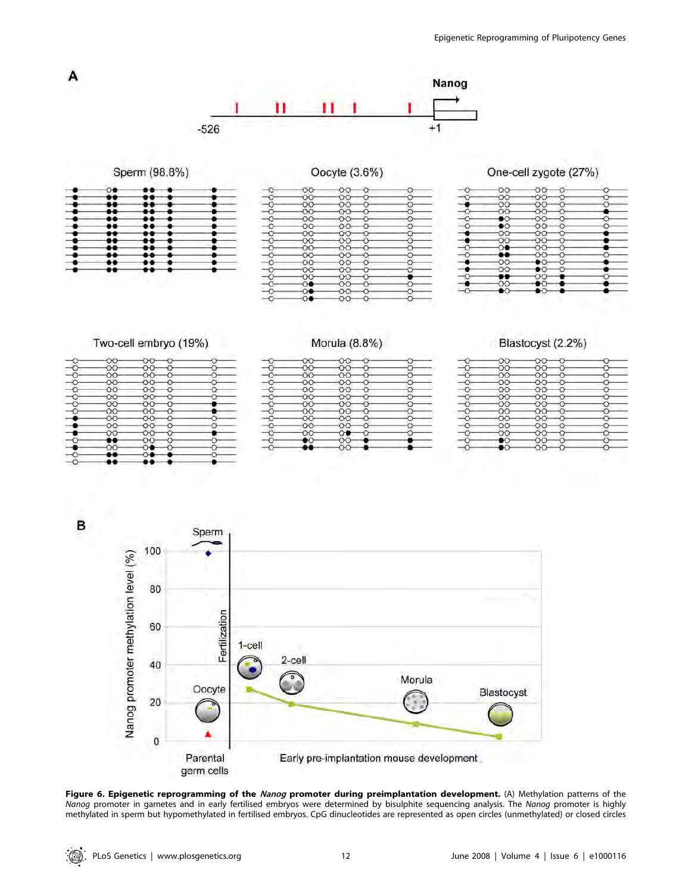

Early pre-implantation mouse development

Figure 6. Epigenetic reprogramming of the Nanog promoter during preimplantation development. (A) Methylation patterns of the Nanog promoter in gametes and in early fertilised embryos were determined by bisulphite sequencing analysis. The Nanog promoter is highly methylated in sperm but hypomethylated in fertilised embryos. CpG dinucleotides are represented as open circles (unmethylated) or closed circles

germ cells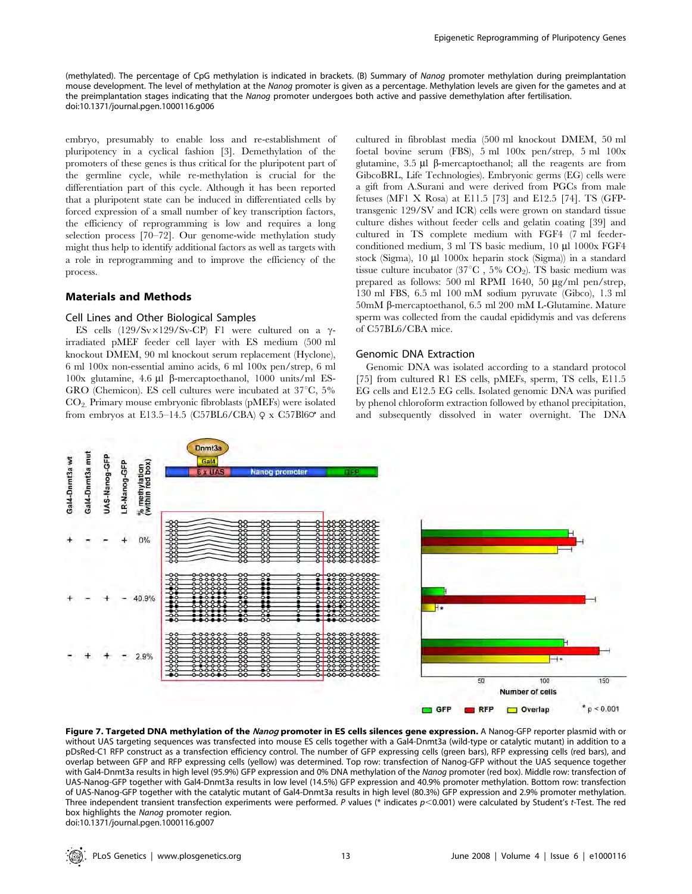(methylated). The percentage of CpG methylation is indicated in brackets. (B) Summary of Nanog promoter methylation during preimplantation mouse development. The level of methylation at the Nanog promoter is given as a percentage. Methylation levels are given for the gametes and at the preimplantation stages indicating that the Nanog promoter undergoes both active and passive demethylation after fertilisation. doi:10.1371/journal.pgen.1000116.g006

embryo, presumably to enable loss and re-establishment of pluripotency in a cyclical fashion [3]. Demethylation of the promoters of these genes is thus critical for the pluripotent part of the germline cycle, while re-methylation is crucial for the differentiation part of this cycle. Although it has been reported that a pluripotent state can be induced in differentiated cells by forced expression of a small number of key transcription factors, the efficiency of reprogramming is low and requires a long selection process [70–72]. Our genome-wide methylation study might thus help to identify additional factors as well as targets with a role in reprogramming and to improve the efficiency of the process.

## Materials and Methods

#### Cell Lines and Other Biological Samples

ES cells  $(129/Sv\times129/Sv-CP)$  F1 were cultured on a  $\gamma$ irradiated pMEF feeder cell layer with ES medium (500 ml knockout DMEM, 90 ml knockout serum replacement (Hyclone), 6 ml 100x non-essential amino acids, 6 ml 100x pen/strep, 6 ml  $100x$  glutamine, 4.6 μl β-mercaptoethanol, 1000 units/ml ES-GRO (Chemicon). ES cell cultures were incubated at  $37^{\circ}$ C,  $5\%$ CO2. Primary mouse embryonic fibroblasts (pMEFs) were isolated from embryos at E13.5–14.5 (C57BL6/CBA)  $\varphi$  x C57Bl6 $\varphi$  and cultured in fibroblast media (500 ml knockout DMEM, 50 ml foetal bovine serum (FBS), 5 ml 100x pen/strep, 5 ml 100x glutamine,  $3.5 \mu l$   $\beta$ -mercaptoethanol; all the reagents are from GibcoBRL, Life Technologies). Embryonic germs (EG) cells were a gift from A.Surani and were derived from PGCs from male fetuses (MF1 X Rosa) at E11.5 [73] and E12.5 [74]. TS (GFPtransgenic 129/SV and ICR) cells were grown on standard tissue culture dishes without feeder cells and gelatin coating [39] and cultured in TS complete medium with FGF4 (7 ml feederconditioned medium, 3 ml TS basic medium, 10 µl 1000x FGF4 stock (Sigma),  $10 \mu l$  1000x heparin stock (Sigma)) in a standard tissue culture incubator (37 $\textdegree$ C , 5% CO<sub>2</sub>). TS basic medium was prepared as follows: 500 ml RPMI 1640, 50  $\mu$ g/ml pen/strep, 130 ml FBS, 6.5 ml 100 mM sodium pyruvate (Gibco), 1.3 ml 50mM b-mercaptoethanol, 6.5 ml 200 mM L-Glutamine. Mature sperm was collected from the caudal epididymis and vas deferens of C57BL6/CBA mice.

#### Genomic DNA Extraction

Genomic DNA was isolated according to a standard protocol [75] from cultured R1 ES cells, pMEFs, sperm, TS cells, E11.5 EG cells and E12.5 EG cells. Isolated genomic DNA was purified by phenol chloroform extraction followed by ethanol precipitation, and subsequently dissolved in water overnight. The DNA



Figure 7. Targeted DNA methylation of the Nanog promoter in ES cells silences gene expression. A Nanog-GFP reporter plasmid with or without UAS targeting sequences was transfected into mouse ES cells together with a Gal4-Dnmt3a (wild-type or catalytic mutant) in addition to a pDsRed-C1 RFP construct as a transfection efficiency control. The number of GFP expressing cells (green bars), RFP expressing cells (red bars), and overlap between GFP and RFP expressing cells (yellow) was determined. Top row: transfection of Nanog-GFP without the UAS sequence together with Gal4-Dnmt3a results in high level (95.9%) GFP expression and 0% DNA methylation of the Nanog promoter (red box). Middle row: transfection of UAS-Nanog-GFP together with Gal4-Dnmt3a results in low level (14.5%) GFP expression and 40.9% promoter methylation. Bottom row: transfection of UAS-Nanog-GFP together with the catalytic mutant of Gal4-Dnmt3a results in high level (80.3%) GFP expression and 2.9% promoter methylation. Three independent transient transfection experiments were performed. P values (\* indicates  $p$ <0.001) were calculated by Student's t-Test. The red box highlights the Nanog promoter region. doi:10.1371/journal.pgen.1000116.g007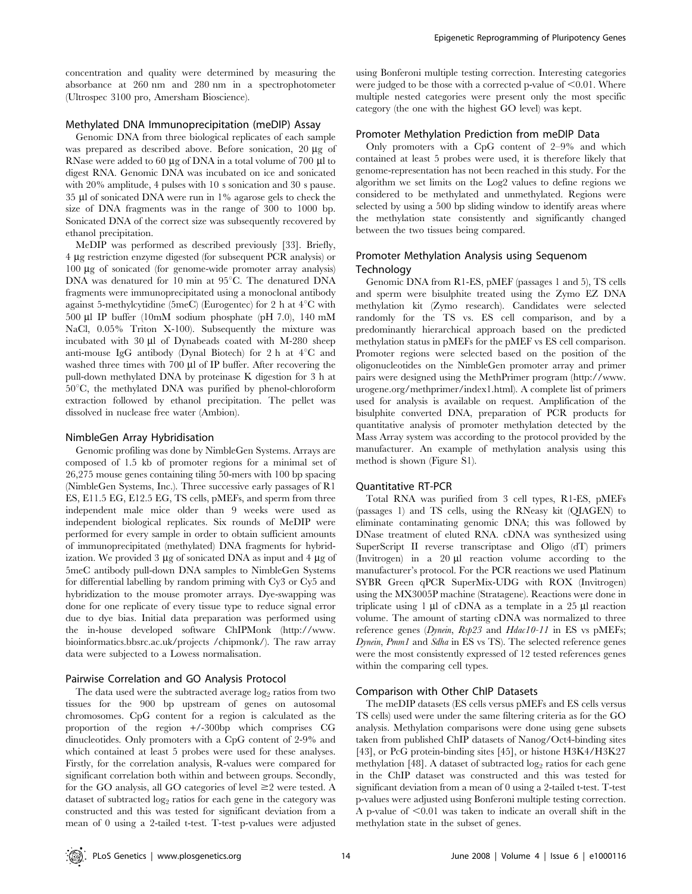concentration and quality were determined by measuring the absorbance at 260 nm and 280 nm in a spectrophotometer (Ultrospec 3100 pro, Amersham Bioscience).

#### Methylated DNA Immunoprecipitation (meDIP) Assay

Genomic DNA from three biological replicates of each sample was prepared as described above. Before sonication,  $20 \mu$ g of RNase were added to 60  $\mu$ g of DNA in a total volume of 700  $\mu$ l to digest RNA. Genomic DNA was incubated on ice and sonicated with 20% amplitude, 4 pulses with 10 s sonication and 30 s pause. 35 ml of sonicated DNA were run in 1% agarose gels to check the size of DNA fragments was in the range of 300 to 1000 bp. Sonicated DNA of the correct size was subsequently recovered by ethanol precipitation.

MeDIP was performed as described previously [33]. Briefly, 4 mg restriction enzyme digested (for subsequent PCR analysis) or 100 mg of sonicated (for genome-wide promoter array analysis) DNA was denatured for 10 min at 95°C. The denatured DNA fragments were immunoprecipitated using a monoclonal antibody against 5-methylcytidine (5meC) (Eurogentec) for 2 h at  $4^{\circ}$ C with 500 µl IP buffer  $(10mM)$  sodium phosphate (pH 7.0), 140 mM NaCl, 0.05% Triton X-100). Subsequently the mixture was incubated with 30 µl of Dynabeads coated with M-280 sheep anti-mouse IgG antibody (Dynal Biotech) for 2 h at  $4^{\circ}$ C and washed three times with  $700 \mu l$  of IP buffer. After recovering the pull-down methylated DNA by proteinase K digestion for 3 h at  $50^{\circ}$ C, the methylated DNA was purified by phenol-chloroform extraction followed by ethanol precipitation. The pellet was dissolved in nuclease free water (Ambion).

#### NimbleGen Array Hybridisation

Genomic profiling was done by NimbleGen Systems. Arrays are composed of 1.5 kb of promoter regions for a minimal set of 26,275 mouse genes containing tiling 50-mers with 100 bp spacing (NimbleGen Systems, Inc.). Three successive early passages of R1 ES, E11.5 EG, E12.5 EG, TS cells, pMEFs, and sperm from three independent male mice older than 9 weeks were used as independent biological replicates. Six rounds of MeDIP were performed for every sample in order to obtain sufficient amounts of immunoprecipitated (methylated) DNA fragments for hybridization. We provided 3  $\mu$ g of sonicated DNA as input and 4  $\mu$ g of 5meC antibody pull-down DNA samples to NimbleGen Systems for differential labelling by random priming with Cy3 or Cy5 and hybridization to the mouse promoter arrays. Dye-swapping was done for one replicate of every tissue type to reduce signal error due to dye bias. Initial data preparation was performed using the in-house developed software ChIPMonk (http://www. bioinformatics.bbsrc.ac.uk/projects /chipmonk/). The raw array data were subjected to a Lowess normalisation.

## Pairwise Correlation and GO Analysis Protocol

The data used were the subtracted average  $\log_2$  ratios from two tissues for the 900 bp upstream of genes on autosomal chromosomes. CpG content for a region is calculated as the proportion of the region +/-300bp which comprises CG dinucleotides. Only promoters with a CpG content of 2-9% and which contained at least 5 probes were used for these analyses. Firstly, for the correlation analysis, R-values were compared for significant correlation both within and between groups. Secondly, for the GO analysis, all GO categories of level  $\geq$  2 were tested. A dataset of subtracted  $\log_2$  ratios for each gene in the category was constructed and this was tested for significant deviation from a mean of 0 using a 2-tailed t-test. T-test p-values were adjusted using Bonferoni multiple testing correction. Interesting categories were judged to be those with a corrected p-value of  $\leq 0.01$ . Where multiple nested categories were present only the most specific category (the one with the highest GO level) was kept.

## Promoter Methylation Prediction from meDIP Data

Only promoters with a CpG content of 2–9% and which contained at least 5 probes were used, it is therefore likely that genome-representation has not been reached in this study. For the algorithm we set limits on the Log2 values to define regions we considered to be methylated and unmethylated. Regions were selected by using a 500 bp sliding window to identify areas where the methylation state consistently and significantly changed between the two tissues being compared.

## Promoter Methylation Analysis using Sequenom **Technology**

Genomic DNA from R1-ES, pMEF (passages 1 and 5), TS cells and sperm were bisulphite treated using the Zymo EZ DNA methylation kit (Zymo research). Candidates were selected randomly for the TS vs. ES cell comparison, and by a predominantly hierarchical approach based on the predicted methylation status in pMEFs for the pMEF vs ES cell comparison. Promoter regions were selected based on the position of the oligonucleotides on the NimbleGen promoter array and primer pairs were designed using the MethPrimer program (http://www. urogene.org/methprimer/index1.html). A complete list of primers used for analysis is available on request. Amplification of the bisulphite converted DNA, preparation of PCR products for quantitative analysis of promoter methylation detected by the Mass Array system was according to the protocol provided by the manufacturer. An example of methylation analysis using this method is shown (Figure S1).

#### Quantitative RT-PCR

Total RNA was purified from 3 cell types, R1-ES, pMEFs (passages 1) and TS cells, using the RNeasy kit (QIAGEN) to eliminate contaminating genomic DNA; this was followed by DNase treatment of eluted RNA. cDNA was synthesized using SuperScript II reverse transcriptase and Oligo (dT) primers (Invitrogen) in a  $20 \mu l$  reaction volume according to the manufacturer's protocol. For the PCR reactions we used Platinum SYBR Green qPCR SuperMix-UDG with ROX (Invitrogen) using the MX3005P machine (Stratagene). Reactions were done in triplicate using  $1 \mu l$  of cDNA as a template in a 25  $\mu l$  reaction volume. The amount of starting cDNA was normalized to three reference genes (Dynein, Rsp23 and Hdac10-11 in ES vs pMEFs; Dynein, Pmm1 and Sdha in ES vs TS). The selected reference genes were the most consistently expressed of 12 tested references genes within the comparing cell types.

#### Comparison with Other ChIP Datasets

The meDIP datasets (ES cells versus pMEFs and ES cells versus TS cells) used were under the same filtering criteria as for the GO analysis. Methylation comparisons were done using gene subsets taken from published ChIP datasets of Nanog/Oct4-binding sites [43], or PcG protein-binding sites [45], or histone H3K4/H3K27 methylation [48]. A dataset of subtracted log<sub>2</sub> ratios for each gene in the ChIP dataset was constructed and this was tested for significant deviation from a mean of 0 using a 2-tailed t-test. T-test p-values were adjusted using Bonferoni multiple testing correction. A p-value of  $\leq 0.01$  was taken to indicate an overall shift in the methylation state in the subset of genes.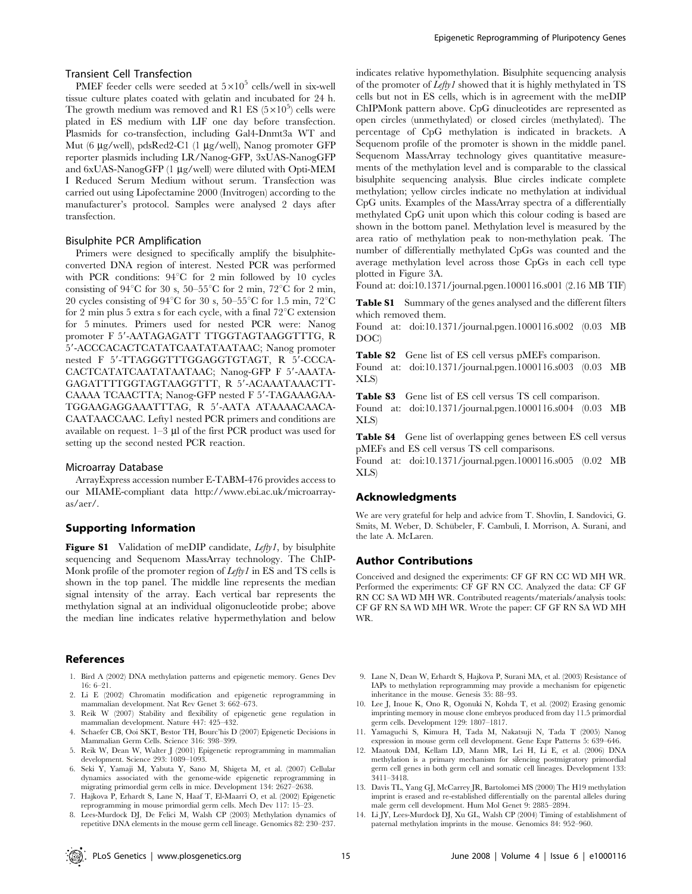#### Transient Cell Transfection

PMEF feeder cells were seeded at  $5\times10^5$  cells/well in six-well tissue culture plates coated with gelatin and incubated for 24 h. The growth medium was removed and R1 ES  $(5 \times 10^5)$  cells were plated in ES medium with LIF one day before transfection. Plasmids for co-transfection, including Gal4-Dnmt3a WT and Mut (6 μg/well), pdsRed2-C1 (1 μg/well), Nanog promoter GFP reporter plasmids including LR/Nanog-GFP, 3xUAS-NanogGFP and  $6xUAS-NanogGFP$  (1  $\mu$ g/well) were diluted with Opti-MEM I Reduced Serum Medium without serum. Transfection was carried out using Lipofectamine 2000 (Invitrogen) according to the manufacturer's protocol. Samples were analysed 2 days after transfection.

#### Bisulphite PCR Amplification

Primers were designed to specifically amplify the bisulphiteconverted DNA region of interest. Nested PCR was performed with PCR conditions:  $94^{\circ}$ C for 2 min followed by 10 cycles consisting of 94 $^{\circ}$ C for 30 s, 50–55 $^{\circ}$ C for 2 min, 72 $^{\circ}$ C for 2 min, 20 cycles consisting of 94 $^{\circ}$ C for 30 s, 50–55 $^{\circ}$ C for 1.5 min, 72 $^{\circ}$ C for 2 min plus 5 extra s for each cycle, with a final  $72^{\circ}$ C extension for 5 minutes. Primers used for nested PCR were: Nanog promoter F 5'-AATAGAGATT TTGGTAGTAAGGTTTG, R 59-ACCCACACTCATATCAATATAATAAC; Nanog promoter nested F 5'-TTAGGGTTTGGAGGTGTAGT, R 5'-CCCA-CACTCATATCAATATAATAAC; Nanog-GFP F 5'-AAATA-GAGATTTTGGTAGTAAGGTTT, R 5'-ACAAATAAACTT-CAAAA TCAACTTA; Nanog-GFP nested F 5'-TAGAAAGAA-TGGAAGAGGAAATTTAG, R 5'-AATA ATAAAACAACA-CAATAACCAAC. Lefty1 nested PCR primers and conditions are available on request.  $1-3$  µl of the first PCR product was used for setting up the second nested PCR reaction.

#### Microarray Database

ArrayExpress accession number E-TABM-476 provides access to our MIAME-compliant data http://www.ebi.ac.uk/microarrayas/aer/.

#### Supporting Information

Figure S1 Validation of meDIP candidate,  $Leftyl$ , by bisulphite sequencing and Sequenom MassArray technology. The ChIP-Monk profile of the promoter region of *Lefty1* in ES and TS cells is shown in the top panel. The middle line represents the median signal intensity of the array. Each vertical bar represents the methylation signal at an individual oligonucleotide probe; above the median line indicates relative hypermethylation and below

#### References

- 1. Bird A (2002) DNA methylation patterns and epigenetic memory. Genes Dev 16: 6–21.
- 2. Li E (2002) Chromatin modification and epigenetic reprogramming in mammalian development. Nat Rev Genet 3: 662–673.
- 3. Reik W (2007) Stability and flexibility of epigenetic gene regulation in mammalian development. Nature 447: 425–432.
- 4. Schaefer CB, Ooi SKT, Bestor TH, Bourc'his D (2007) Epigenetic Decisions in Mammalian Germ Cells. Science 316: 398–399.
- 5. Reik W, Dean W, Walter J (2001) Epigenetic reprogramming in mammalian development. Science 293: 1089–1093.
- 6. Seki Y, Yamaji M, Yabuta Y, Sano M, Shigeta M, et al. (2007) Cellular dynamics associated with the genome-wide epigenetic reprogramming in migrating primordial germ cells in mice. Development 134: 2627–2638.
- 7. Hajkova P, Erhardt S, Lane N, Haaf T, El-Maarri O, et al. (2002) Epigenetic reprogramming in mouse primordial germ cells. Mech Dev 117: 15–23.
- 8. Lees-Murdock DJ, De Felici M, Walsh CP (2003) Methylation dynamics of repetitive DNA elements in the mouse germ cell lineage. Genomics 82: 230–237.

indicates relative hypomethylation. Bisulphite sequencing analysis of the promoter of Lefty1 showed that it is highly methylated in TS cells but not in ES cells, which is in agreement with the meDIP ChIPMonk pattern above. CpG dinucleotides are represented as open circles (unmethylated) or closed circles (methylated). The percentage of CpG methylation is indicated in brackets. A Sequenom profile of the promoter is shown in the middle panel. Sequenom MassArray technology gives quantitative measurements of the methylation level and is comparable to the classical bisulphite sequencing analysis. Blue circles indicate complete methylation; yellow circles indicate no methylation at individual CpG units. Examples of the MassArray spectra of a differentially methylated CpG unit upon which this colour coding is based are shown in the bottom panel. Methylation level is measured by the area ratio of methylation peak to non-methylation peak. The number of differentially methylated CpGs was counted and the average methylation level across those CpGs in each cell type plotted in Figure 3A.

Found at: doi:10.1371/journal.pgen.1000116.s001 (2.16 MB TIF)

Table S1 Summary of the genes analysed and the different filters which removed them.

Found at: doi:10.1371/journal.pgen.1000116.s002 (0.03 MB DOC)

Table S2 Gene list of ES cell versus pMEFs comparison.

Found at: doi:10.1371/journal.pgen.1000116.s003 (0.03 MB XLS)

Table S3 Gene list of ES cell versus TS cell comparison. Found at: doi:10.1371/journal.pgen.1000116.s004 (0.03 MB XLS)

Table S4 Gene list of overlapping genes between ES cell versus pMEFs and ES cell versus TS cell comparisons.

Found at: doi:10.1371/journal.pgen.1000116.s005 (0.02 MB XLS)

#### Acknowledgments

We are very grateful for help and advice from T. Shovlin, I. Sandovici, G. Smits, M. Weber, D. Schübeler, F. Cambuli, I. Morrison, A. Surani, and the late A. McLaren.

#### Author Contributions

Conceived and designed the experiments: CF GF RN CC WD MH WR. Performed the experiments: CF GF RN CC. Analyzed the data: CF GF RN CC SA WD MH WR. Contributed reagents/materials/analysis tools: CF GF RN SA WD MH WR. Wrote the paper: CF GF RN SA WD MH WR.

- 9. Lane N, Dean W, Erhardt S, Hajkova P, Surani MA, et al. (2003) Resistance of IAPs to methylation reprogramming may provide a mechanism for epigenetic inheritance in the mouse. Genesis 35: 88–93.
- 10. Lee J, Inoue K, Ono R, Ogonuki N, Kohda T, et al. (2002) Erasing genomic imprinting memory in mouse clone embryos produced from day 11.5 primordial germ cells. Development 129: 1807–1817.
- 11. Yamaguchi S, Kimura H, Tada M, Nakatsuji N, Tada T (2005) Nanog expression in mouse germ cell development. Gene Expr Patterns 5: 639–646.
- 12. Maatouk DM, Kellam LD, Mann MR, Lei H, Li E, et al. (2006) DNA methylation is a primary mechanism for silencing postmigratory primordial germ cell genes in both germ cell and somatic cell lineages. Development 133: 3411–3418.
- 13. Davis TL, Yang GJ, McCarrey JR, Bartolomei MS (2000) The H19 methylation imprint is erased and re-established differentially on the parental alleles during male germ cell development. Hum Mol Genet 9: 2885–2894.
- 14. Li JY, Lees-Murdock DJ, Xu GL, Walsh CP (2004) Timing of establishment of paternal methylation imprints in the mouse. Genomics 84: 952–960.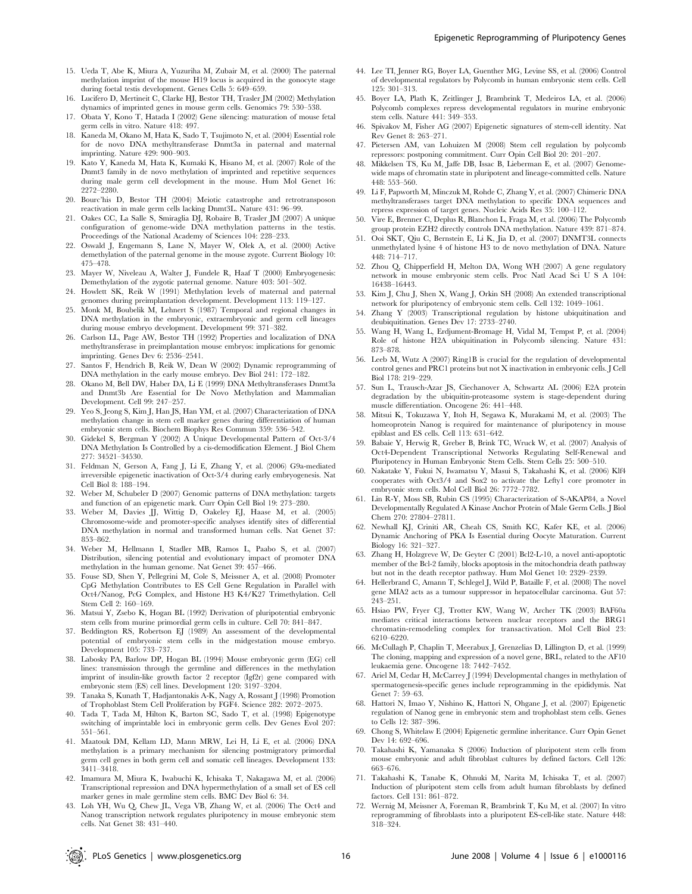- 15. Ueda T, Abe K, Miura A, Yuzuriha M, Zubair M, et al. (2000) The paternal methylation imprint of the mouse H19 locus is acquired in the gonocyte stage during foetal testis development. Genes Cells 5: 649–659.
- 16. Lucifero D, Mertineit C, Clarke HJ, Bestor TH, Trasler JM (2002) Methylation dynamics of imprinted genes in mouse germ cells. Genomics 79: 530–538.
- 17. Obata Y, Kono T, Hatada I (2002) Gene silencing: maturation of mouse fetal germ cells in vitro. Nature 418: 497.
- 18. Kaneda M, Okano M, Hata K, Sado T, Tsujimoto N, et al. (2004) Essential role for de novo DNA methyltransferase Dnmt3a in paternal and maternal imprinting. Nature 429: 900–903.
- 19. Kato Y, Kaneda M, Hata K, Kumaki K, Hisano M, et al. (2007) Role of the Dnmt3 family in de novo methylation of imprinted and repetitive sequences during male germ cell development in the mouse. Hum Mol Genet 16: 2272–2280.
- 20. Bourc'his D, Bestor TH (2004) Meiotic catastrophe and retrotransposon reactivation in male germ cells lacking Dnmt3L. Nature 431: 96–99.
- 21. Oakes CC, La Salle S, Smiraglia DJ, Robaire B, Trasler JM (2007) A unique configuration of genome-wide DNA methylation patterns in the testis. Proceedings of the National Academy of Sciences 104: 228–233.
- 22. Oswald J, Engemann S, Lane N, Mayer W, Olek A, et al. (2000) Active demethylation of the paternal genome in the mouse zygote. Current Biology 10: 475–478.
- 23. Mayer W, Niveleau A, Walter J, Fundele R, Haaf T (2000) Embryogenesis: Demethylation of the zygotic paternal genome. Nature 403: 501–502.
- 24. Howlett SK, Reik W (1991) Methylation levels of maternal and paternal genomes during preimplantation development. Development 113: 119–127.
- 25. Monk M, Boubelik M, Lehnert S (1987) Temporal and regional changes in DNA methylation in the embryonic, extraembryonic and germ cell lineages during mouse embryo development. Development 99: 371–382.
- 26. Carlson LL, Page AW, Bestor TH (1992) Properties and localization of DNA methyltransferase in preimplantation mouse embryos: implications for genomic imprinting. Genes Dev 6: 2536–2541.
- 27. Santos F, Hendrich B, Reik W, Dean W (2002) Dynamic reprogramming of DNA methylation in the early mouse embryo. Dev Biol 241: 172–182.
- 28. Okano M, Bell DW, Haber DA, Li E (1999) DNA Methyltransferases Dnmt3a and Dnmt3b Are Essential for De Novo Methylation and Mammalian Development. Cell 99: 247–257.
- 29. Yeo S, Jeong S, Kim J, Han JS, Han YM, et al. (2007) Characterization of DNA methylation change in stem cell marker genes during differentiation of human embryonic stem cells. Biochem Biophys Res Commun 359: 536–542.
- 30. Gidekel S, Bergman Y (2002) A Unique Developmental Pattern of Oct-3/4 DNA Methylation Is Controlled by a cis-demodification Element. J Biol Chem 277: 34521–34530.
- 31. Feldman N, Gerson A, Fang J, Li E, Zhang Y, et al. (2006) G9a-mediated irreversible epigenetic inactivation of Oct-3/4 during early embryogenesis. Nat Cell Biol 8: 188–194.
- 32. Weber M, Schubeler D (2007) Genomic patterns of DNA methylation: targets and function of an epigenetic mark. Curr Opin Cell Biol 19: 273–280.
- 33. Weber M, Davies JJ, Wittig D, Oakeley EJ, Haase M, et al. (2005) Chromosome-wide and promoter-specific analyses identify sites of differential DNA methylation in normal and transformed human cells. Nat Genet 37: 853–862.
- 34. Weber M, Hellmann I, Stadler MB, Ramos L, Paabo S, et al. (2007) Distribution, silencing potential and evolutionary impact of promoter DNA methylation in the human genome. Nat Genet 39: 457–466.
- 35. Fouse SD, Shen Y, Pellegrini M, Cole S, Meissner A, et al. (2008) Promoter CpG Methylation Contributes to ES Cell Gene Regulation in Parallel with Oct4/Nanog, PcG Complex, and Histone H3 K4/K27 Trimethylation. Cell Stem Cell 2: 160–169.
- 36. Matsui Y, Zsebo K, Hogan BL (1992) Derivation of pluripotential embryonic stem cells from murine primordial germ cells in culture. Cell 70: 841–847.
- Beddington RS, Robertson EJ (1989) An assessment of the developmental potential of embryonic stem cells in the midgestation mouse embryo. Development 105: 733–737.
- 38. Labosky PA, Barlow DP, Hogan BL (1994) Mouse embryonic germ (EG) cell lines: transmission through the germline and differences in the methylation imprint of insulin-like growth factor 2 receptor (Igf2r) gene compared with embryonic stem (ES) cell lines. Development 120: 3197–3204.
- 39. Tanaka S, Kunath T, Hadjantonakis A-K, Nagy A, Rossant J (1998) Promotion of Trophoblast Stem Cell Proliferation by FGF4. Science 282: 2072–2075.
- 40. Tada T, Tada M, Hilton K, Barton SC, Sado T, et al. (1998) Epigenotype switching of imprintable loci in embryonic germ cells. Dev Genes Evol 207: 551–561.
- 41. Maatouk DM, Kellam LD, Mann MRW, Lei H, Li E, et al. (2006) DNA methylation is a primary mechanism for silencing postmigratory primordial germ cell genes in both germ cell and somatic cell lineages. Development 133: 3411–3418.
- 42. Imamura M, Miura K, Iwabuchi K, Ichisaka T, Nakagawa M, et al. (2006) Transcriptional repression and DNA hypermethylation of a small set of ES cell marker genes in male germline stem cells. BMC Dev Biol 6: 34.
- 43. Loh YH, Wu Q, Chew JL, Vega VB, Zhang W, et al. (2006) The Oct4 and Nanog transcription network regulates pluripotency in mouse embryonic stem cells. Nat Genet 38: 431–440.
- 44. Lee TI, Jenner RG, Boyer LA, Guenther MG, Levine SS, et al. (2006) Control of developmental regulators by Polycomb in human embryonic stem cells. Cell 125: 301–313.
- 45. Boyer LA, Plath K, Zeitlinger J, Brambrink T, Medeiros LA, et al. (2006) Polycomb complexes repress developmental regulators in murine embryonic stem cells. Nature 441: 349–353.
- 46. Spivakov M, Fisher AG (2007) Epigenetic signatures of stem-cell identity. Nat Rev Genet 8: 263–271.
- 47. Pietersen AM, van Lohuizen M (2008) Stem cell regulation by polycomb repressors: postponing commitment. Curr Opin Cell Biol 20: 201–207.
- 48. Mikkelsen TS, Ku M, Jaffe DB, Issac B, Lieberman E, et al. (2007) Genomewide maps of chromatin state in pluripotent and lineage-committed cells. Nature 448: 553–560.
- 49. Li F, Papworth M, Minczuk M, Rohde C, Zhang Y, et al. (2007) Chimeric DNA methyltransferases target DNA methylation to specific DNA sequences and repress expression of target genes. Nucleic Acids Res 35: 100–112.
- 50. Vire E, Brenner C, Deplus R, Blanchon L, Fraga M, et al. (2006) The Polycomb group protein EZH2 directly controls DNA methylation. Nature 439: 871–874.
- 51. Ooi SKT, Qiu C, Bernstein E, Li K, Jia D, et al. (2007) DNMT3L connects unmethylated lysine 4 of histone H3 to de novo methylation of DNA. Nature 448: 714–717.
- 52. Zhou Q, Chipperfield H, Melton DA, Wong WH (2007) A gene regulatory network in mouse embryonic stem cells. Proc Natl Acad Sci U S A 104: 16438–16443.
- 53. Kim J, Chu J, Shen X, Wang J, Orkin SH (2008) An extended transcriptional network for pluripotency of embryonic stem cells. Cell 132: 1049–1061.
- 54. Zhang Y (2003) Transcriptional regulation by histone ubiquitination and deubiquitination. Genes Dev 17: 2733–2740.
- 55. Wang H, Wang L, Erdjument-Bromage H, Vidal M, Tempst P, et al. (2004) Role of histone H2A ubiquitination in Polycomb silencing. Nature 431: 873–878.
- 56. Leeb M, Wutz A (2007) Ring1B is crucial for the regulation of developmental control genes and PRC1 proteins but not X inactivation in embryonic cells. J Cell Biol 178: 219–229.
- 57. Sun L, Trausch-Azar JS, Ciechanover A, Schwartz AL (2006) E2A protein degradation by the ubiquitin-proteasome system is stage-dependent during muscle differentiation. Oncogene 26: 441–448.
- 58. Mitsui K, Tokuzawa Y, Itoh H, Segawa K, Murakami M, et al. (2003) The homeoprotein Nanog is required for maintenance of pluripotency in mouse epiblast and ES cells. Cell 113: 631–642.
- 59. Babaie Y, Herwig R, Greber B, Brink TC, Wruck W, et al. (2007) Analysis of Oct4-Dependent Transcriptional Networks Regulating Self-Renewal and Pluripotency in Human Embryonic Stem Cells. Stem Cells 25: 500–510.
- 60. Nakatake Y, Fukui N, Iwamatsu Y, Masui S, Takahashi K, et al. (2006) Klf4 cooperates with Oct3/4 and Sox2 to activate the Lefty1 core promoter in embryonic stem cells. Mol Cell Biol 26: 7772–7782.
- 61. Lin R-Y, Moss SB, Rubin CS (1995) Characterization of S-AKAP84, a Novel Developmentally Regulated A Kinase Anchor Protein of Male Germ Cells. J Biol Chem 270: 27804–27811.
- 62. Newhall KJ, Criniti AR, Cheah CS, Smith KC, Kafer KE, et al. (2006) Dynamic Anchoring of PKA Is Essential during Oocyte Maturation. Current Biology 16: 321–327.
- 63. Zhang H, Holzgreve W, De Geyter C (2001) Bcl2-L-10, a novel anti-apoptotic member of the Bcl-2 family, blocks apoptosis in the mitochondria death pathway but not in the death receptor pathway. Hum Mol Genet 10: 2329–2339.
- 64. Hellerbrand C, Amann T, Schlegel J, Wild P, Bataille F, et al. (2008) The novel gene MIA2 acts as a tumour suppressor in hepatocellular carcinoma. Gut 57: 243–251.
- 65. Hsiao PW, Fryer CJ, Trotter KW, Wang W, Archer TK (2003) BAF60a mediates critical interactions between nuclear receptors and the BRG1 chromatin-remodeling complex for transactivation. Mol Cell Biol 23: 6210–6220.
- 66. McCullagh P, Chaplin T, Meerabux J, Grenzelias D, Lillington D, et al. (1999) The cloning, mapping and expression of a novel gene, BRL, related to the AF10 leukaemia gene. Oncogene 18: 7442–7452.
- 67. Ariel M, Cedar H, McCarrey J (1994) Developmental changes in methylation of spermatogenesis-specific genes include reprogramming in the epididymis. Nat Genet 7: 59–63.
- 68. Hattori N, Imao Y, Nishino K, Hattori N, Ohgane J, et al. (2007) Epigenetic regulation of Nanog gene in embryonic stem and trophoblast stem cells. Genes to Cells 12: 387–396.
- 69. Chong S, Whitelaw E (2004) Epigenetic germline inheritance. Curr Opin Genet Dev 14: 692–696.
- 70. Takahashi K, Yamanaka S (2006) Induction of pluripotent stem cells from mouse embryonic and adult fibroblast cultures by defined factors. Cell 126: 663–676.
- 71. Takahashi K, Tanabe K, Ohnuki M, Narita M, Ichisaka T, et al. (2007) Induction of pluripotent stem cells from adult human fibroblasts by defined factors. Cell 131: 861–872.
- 72. Wernig M, Meissner A, Foreman R, Brambrink T, Ku M, et al. (2007) In vitro reprogramming of fibroblasts into a pluripotent ES-cell-like state. Nature 448: 318–324.